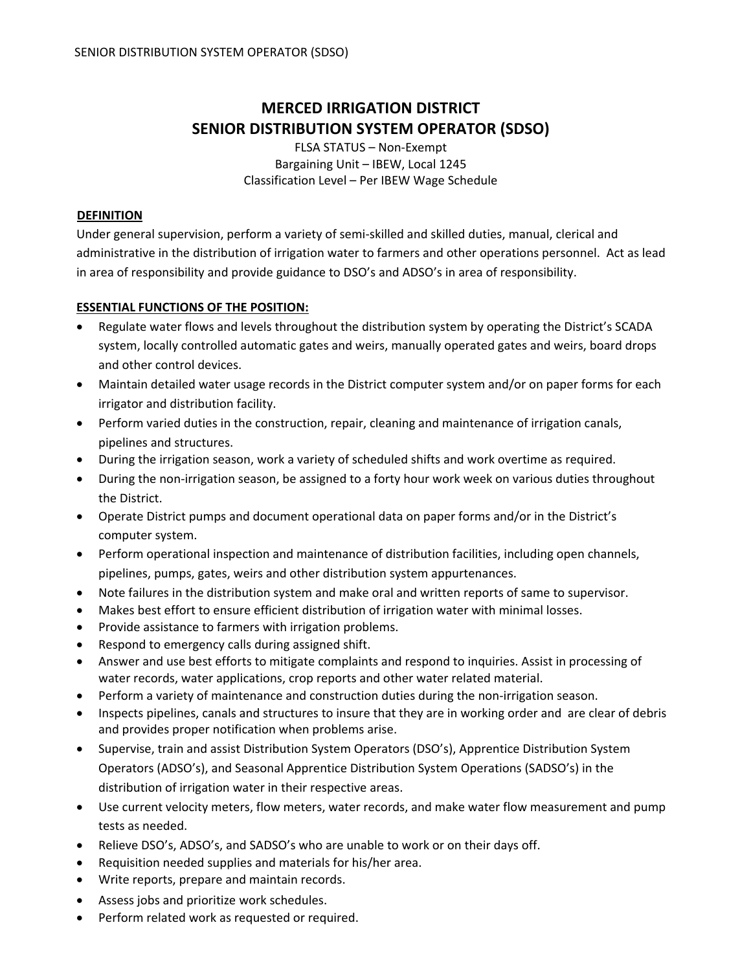# **MERCED IRRIGATION DISTRICT SENIOR DISTRIBUTION SYSTEM OPERATOR (SDSO)**

FLSA STATUS – Non‐Exempt Bargaining Unit – IBEW, Local 1245 Classification Level – Per IBEW Wage Schedule

# **DEFINITION**

Under general supervision, perform a variety of semi‐skilled and skilled duties, manual, clerical and administrative in the distribution of irrigation water to farmers and other operations personnel. Act as lead in area of responsibility and provide guidance to DSO's and ADSO's in area of responsibility.

## **ESSENTIAL FUNCTIONS OF THE POSITION:**

- Regulate water flows and levels throughout the distribution system by operating the District's SCADA system, locally controlled automatic gates and weirs, manually operated gates and weirs, board drops and other control devices.
- Maintain detailed water usage records in the District computer system and/or on paper forms for each irrigator and distribution facility.
- Perform varied duties in the construction, repair, cleaning and maintenance of irrigation canals, pipelines and structures.
- During the irrigation season, work a variety of scheduled shifts and work overtime as required.
- During the non‐irrigation season, be assigned to a forty hour work week on various duties throughout the District.
- Operate District pumps and document operational data on paper forms and/or in the District's computer system.
- Perform operational inspection and maintenance of distribution facilities, including open channels, pipelines, pumps, gates, weirs and other distribution system appurtenances.
- Note failures in the distribution system and make oral and written reports of same to supervisor.
- Makes best effort to ensure efficient distribution of irrigation water with minimal losses.
- Provide assistance to farmers with irrigation problems.
- Respond to emergency calls during assigned shift.
- Answer and use best efforts to mitigate complaints and respond to inquiries. Assist in processing of water records, water applications, crop reports and other water related material.
- Perform a variety of maintenance and construction duties during the non‐irrigation season.
- Inspects pipelines, canals and structures to insure that they are in working order and are clear of debris and provides proper notification when problems arise.
- Supervise, train and assist Distribution System Operators (DSO's), Apprentice Distribution System Operators (ADSO's), and Seasonal Apprentice Distribution System Operations (SADSO's) in the distribution of irrigation water in their respective areas.
- Use current velocity meters, flow meters, water records, and make water flow measurement and pump tests as needed.
- Relieve DSO's, ADSO's, and SADSO's who are unable to work or on their days off.
- Requisition needed supplies and materials for his/her area.
- Write reports, prepare and maintain records.
- Assess jobs and prioritize work schedules.
- Perform related work as requested or required.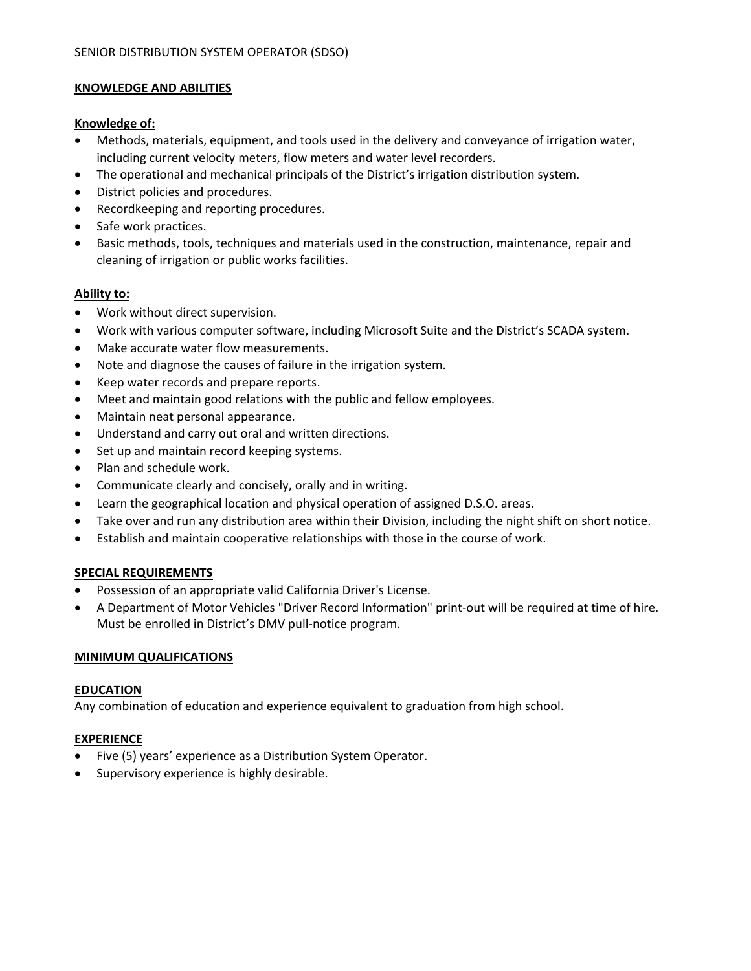## **KNOWLEDGE AND ABILITIES**

#### **Knowledge of:**

- Methods, materials, equipment, and tools used in the delivery and conveyance of irrigation water, including current velocity meters, flow meters and water level recorders.
- The operational and mechanical principals of the District's irrigation distribution system.
- District policies and procedures.
- Recordkeeping and reporting procedures.
- Safe work practices.
- Basic methods, tools, techniques and materials used in the construction, maintenance, repair and cleaning of irrigation or public works facilities.

#### **Ability to:**

- Work without direct supervision.
- Work with various computer software, including Microsoft Suite and the District's SCADA system.
- Make accurate water flow measurements.
- Note and diagnose the causes of failure in the irrigation system.
- Keep water records and prepare reports.
- Meet and maintain good relations with the public and fellow employees.
- Maintain neat personal appearance.
- Understand and carry out oral and written directions.
- Set up and maintain record keeping systems.
- Plan and schedule work.
- Communicate clearly and concisely, orally and in writing.
- Learn the geographical location and physical operation of assigned D.S.O. areas.
- Take over and run any distribution area within their Division, including the night shift on short notice.
- Establish and maintain cooperative relationships with those in the course of work.

# **SPECIAL REQUIREMENTS**

- Possession of an appropriate valid California Driver's License.
- A Department of Motor Vehicles "Driver Record Information" print‐out will be required at time of hire. Must be enrolled in District's DMV pull‐notice program.

#### **MINIMUM QUALIFICATIONS**

#### **EDUCATION**

Any combination of education and experience equivalent to graduation from high school.

#### **EXPERIENCE**

- Five (5) years' experience as a Distribution System Operator.
- Supervisory experience is highly desirable.